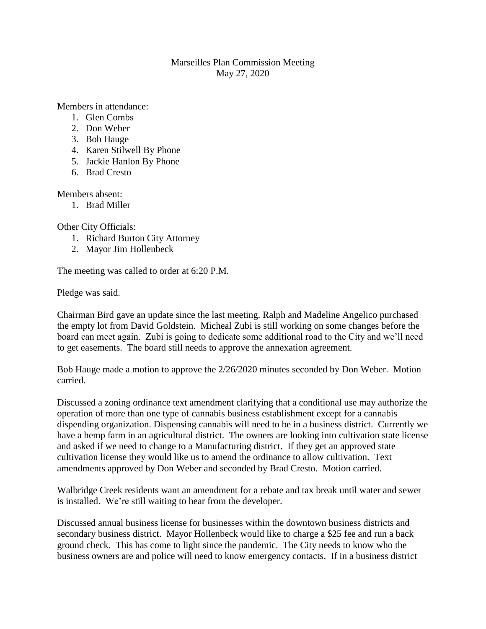## Marseilles Plan Commission Meeting May 27, 2020

Members in attendance:

- 1. Glen Combs
- 2. Don Weber
- 3. Bob Hauge
- 4. Karen Stilwell By Phone
- 5. Jackie Hanlon By Phone
- 6. Brad Cresto

Members absent:

1. Brad Miller

Other City Officials:

- 1. Richard Burton City Attorney
- 2. Mayor Jim Hollenbeck

The meeting was called to order at 6:20 P.M.

Pledge was said.

Chairman Bird gave an update since the last meeting. Ralph and Madeline Angelico purchased the empty lot from David Goldstein. Micheal Zubi is still working on some changes before the board can meet again. Zubi is going to dedicate some additional road to the City and we'll need to get easements. The board still needs to approve the annexation agreement.

Bob Hauge made a motion to approve the 2/26/2020 minutes seconded by Don Weber. Motion carried.

Discussed a zoning ordinance text amendment clarifying that a conditional use may authorize the operation of more than one type of cannabis business establishment except for a cannabis dispending organization. Dispensing cannabis will need to be in a business district. Currently we have a hemp farm in an agricultural district. The owners are looking into cultivation state license and asked if we need to change to a Manufacturing district. If they get an approved state cultivation license they would like us to amend the ordinance to allow cultivation. Text amendments approved by Don Weber and seconded by Brad Cresto. Motion carried.

Walbridge Creek residents want an amendment for a rebate and tax break until water and sewer is installed. We're still waiting to hear from the developer.

Discussed annual business license for businesses within the downtown business districts and secondary business district. Mayor Hollenbeck would like to charge a \$25 fee and run a back ground check. This has come to light since the pandemic. The City needs to know who the business owners are and police will need to know emergency contacts. If in a business district